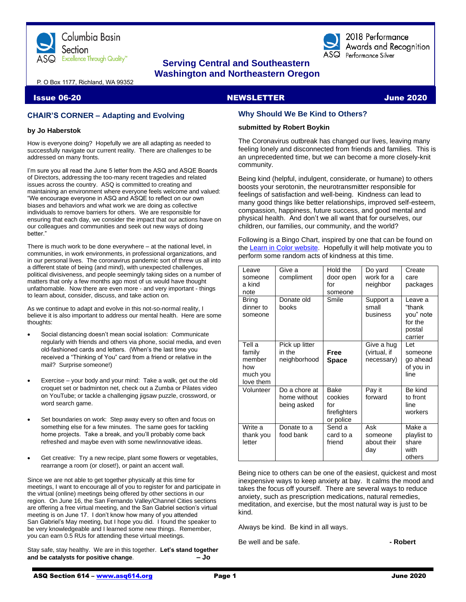

# **Serving Central and Southeastern Washington and Northeastern Oregon**

2018 Performance Awards and Recognition  ${\rm s}\mathsf{Q}$  Performance Silver

P. O Box 1177, Richland, WA 99352

#### Issue 06-20 NEWSLETTER June 2020

# **CHAIR'S CORNER – Adapting and Evolving**

#### **by Jo Haberstok**

How is everyone doing? Hopefully we are all adapting as needed to successfully navigate our current reality. There are challenges to be addressed on many fronts.

I'm sure you all read the June 5 letter from the ASQ and ASQE Boards of Directors, addressing the too-many recent tragedies and related issues across the country. ASQ is committed to creating and maintaining an environment where everyone feels welcome and valued: "We encourage everyone in ASQ and ASQE to reflect on our own biases and behaviors and what work we are doing as collective individuals to remove barriers for others. We are responsible for ensuring that each day, we consider the impact that our actions have on our colleagues and communities and seek out new ways of doing hetter."

There is much work to be done everywhere – at the national level, in communities, in work environments, in professional organizations, and in our personal lives. The coronavirus pandemic sort of threw us all into a different state of being (and mind), with unexpected challenges, political divisiveness, and people seemingly taking sides on a number of matters that only a few months ago most of us would have thought unfathomable. Now there are even more - and very important - things to learn about, consider, discuss, and take action on.

As we continue to adapt and evolve in this not-so-normal reality, I believe it is also important to address our mental health. Here are some thoughts:

- Social distancing doesn't mean social isolation: Communicate regularly with friends and others via phone, social media, and even old-fashioned cards and letters. (When's the last time you received a "Thinking of You" card from a friend or relative in the mail? Surprise someone!)
- Exercise your body and your mind: Take a walk, get out the old croquet set or badminton net, check out a Zumba or Pilates video on YouTube; or tackle a challenging jigsaw puzzle, crossword, or word search game.
- Set boundaries on work: Step away every so often and focus on something else for a few minutes. The same goes for tackling home projects. Take a break, and you'll probably come back refreshed and maybe even with some new/innovative ideas.
- Get creative: Try a new recipe, plant some flowers or vegetables, rearrange a room (or closet!), or paint an accent wall.

Since we are not able to get together physically at this time for meetings, I want to encourage all of you to register for and participate in the virtual (online) meetings being offered by other sections in our region. On June 16, the San Fernando Valley/Channel Cities sections are offering a free virtual meeting, and the San Gabriel section's virtual meeting is on June 17. I don't know how many of you attended San Gabriel's May meeting, but I hope you did. I found the speaker to be very knowledgeable and I learned some new things. Remember, you can earn 0.5 RUs for attending these virtual meetings.

Stay safe, stay healthy. We are in this together. **Let's stand together and be catalysts for positive change**. **– Jo**

# **Why Should We Be Kind to Others?**

#### **submitted by Robert Boykin**

The Coronavirus outbreak has changed our lives, leaving many feeling lonely and disconnected from friends and families. This is an unprecedented time, but we can become a more closely-knit community.

Being kind (helpful, indulgent, considerate, or humane) to others boosts your serotonin, the neurotransmitter responsible for feelings of satisfaction and well-being. Kindness can lead to many good things like better relationships, improved self-esteem, compassion, happiness, future success, and good mental and physical health. And don't we all want that for ourselves, our children, our families, our community, and the world?

Following is a Bingo Chart, inspired by one that can be found on the [Learn in Color website.](https://learnincolor.com/random-acts-of-kindness-for-kids-with-free-bingo-card.html) Hopefully it will help motivate you to perform some random acts of kindness at this time.

| Leave<br>someone<br>a kind<br>note                         | Give a<br>compliment                         | Hold the<br>door open<br>for<br>someone             | Do yard<br>work for a<br>neighbor        | Create<br>care<br>packages                                     |
|------------------------------------------------------------|----------------------------------------------|-----------------------------------------------------|------------------------------------------|----------------------------------------------------------------|
| Bring<br>dinner to<br>someone                              | Donate old<br>books                          | Smile                                               | Support a<br>small<br>business           | Leave a<br>"thank<br>you" note<br>for the<br>postal<br>carrier |
| Tell a<br>family<br>member<br>how<br>much you<br>love them | Pick up litter<br>in the<br>neighborhood     | Free<br><b>Space</b>                                | Give a hug<br>(virtual, if<br>necessary) | I et<br>someone<br>go ahead<br>of you in<br>line               |
| Volunteer                                                  | Do a chore at<br>home without<br>being asked | Bake<br>cookies<br>for<br>firefighters<br>or police | Pay it<br>forward                        | Be kind<br>to front<br>line<br>workers                         |
| Write a<br>thank you<br>letter                             | Donate to a<br>food bank                     | Send a<br>card to a<br>friend                       | Ask<br>someone<br>about their<br>day     | Make a<br>playlist to<br>share<br>with<br>others               |

Being nice to others can be one of the easiest, quickest and most inexpensive ways to keep anxiety at bay. It calms the mood and takes the focus off yourself. There are several ways to reduce anxiety, such as prescription medications, natural remedies, meditation, and exercise, but the most natural way is just to be kind.

Always be kind. Be kind in all ways.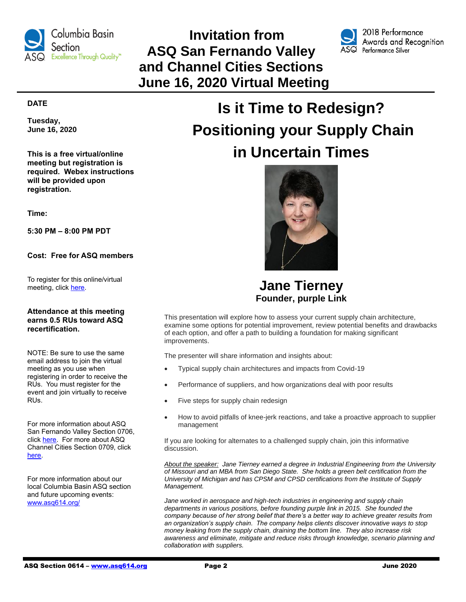

# **Invitation from ASQ San Fernando Valley and Channel Cities Sections June 16, 2020 Virtual Meeting**



2018 Performance Awards and Recognition ASQ Performance Silver

# **DATE**

**Tuesday, June 16, 2020**

**This is a free virtual/online meeting but registration is required. Webex instructions will be provided upon registration.**

**Time:**

**5:30 PM – 8:00 PM PDT**

**Cost: Free for ASQ members**

To register for this online/virtual meeting, click [here.](https://ticketbud.com/events/de625002-99e6-11ea-b747-42010a71700b)

#### **Attendance at this meeting earns 0.5 RUs toward ASQ recertification.**

NOTE: Be sure to use the same email address to join the virtual meeting as you use when registering in order to receive the RUs. You must register for the event and join virtually to receive RUs.

For more information about ASQ San Fernando Valley Section 0706, click [here.](https://my.asq.org/communities/home/221) For more about ASQ Channel Cities Section 0709, click [here.](https://my.asq.org/communities/home/228)

For more information about our local Columbia Basin ASQ section and future upcoming events: [www.asq614.org/](http://www.asq614.org/)

# **Is it Time to Redesign? Positioning your Supply Chain in Uncertain Times**



**Jane Tierney Founder, purple Link**

This presentation will explore how to assess your current supply chain architecture, examine some options for potential improvement, review potential benefits and drawbacks of each option, and offer a path to building a foundation for making significant improvements.

The presenter will share information and insights about:

- Typical supply chain architectures and impacts from Covid-19
- Performance of suppliers, and how organizations deal with poor results
- Five steps for supply chain redesign
- How to avoid pitfalls of knee-jerk reactions, and take a proactive approach to supplier management

If you are looking for alternates to a challenged supply chain, join this informative discussion.

*About the speaker: Jane Tierney earned a degree in Industrial Engineering from the University of Missouri and an MBA from San Diego State. She holds a green belt certification from the University of Michigan and has CPSM and CPSD certifications from the Institute of Supply Management.* 

Jane worked in aerospace and high-tech industries in engineering and supply chain *departments in various positions, before founding purple link in 2015. She founded the company because of her strong belief that there's a better way to achieve greater results from an organization's supply chain. The company helps clients discover innovative ways to stop money leaking from the supply chain, draining the bottom line. They also increase risk awareness and eliminate, mitigate and reduce risks through knowledge, scenario planning and collaboration with suppliers.*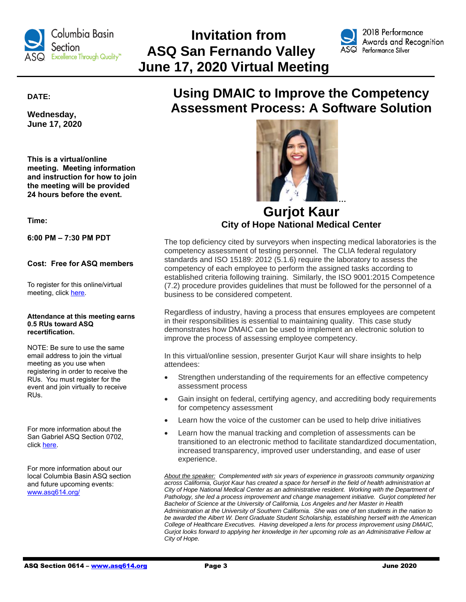

# **Invitation from ASQ San Fernando Valley June 17, 2020 Virtual Meeting**



2018 Performance Awards and Recognition  $\mathsf{ASQ}\;$  Performance Silver

**DATE:**

**Wednesday, June 17, 2020**

**This is a virtual/online meeting. Meeting information and instruction for how to join the meeting will be provided 24 hours before the event.**

**Time:**

**6:00 PM – 7:30 PM PDT**

# **Cost: Free for ASQ members**

To register for this online/virtual meeting, click [here.](https://www.eventbrite.com/e/2020-06-asq-san-gabriel-valley-monthly-meeting-tickets-37748758553?aff=odeimcmailchimp&utm_campaign=d251ce5d84-2018-03+ASQ+0702+Monthly+Meeting_COPY_01&utm_term=0_5cb6d4a937-d251ce5d84-250793833&utm_source=ASQ+702+Members+%26+Attendees&utm_medium=email&mc_eid=9be15f98de&mc_cid=d251ce5d84)

#### **Attendance at this meeting earns 0.5 RUs toward ASQ recertification.**

NOTE: Be sure to use the same email address to join the virtual meeting as you use when registering in order to receive the RUs. You must register for the event and join virtually to receive RUs.

For more information about the San Gabriel ASQ Section 0702, click [here.](https://my.asq.org/communities/home/241)

For more information about our local Columbia Basin ASQ section and future upcoming events: [www.asq614.org/](http://www.asq614.org/)

# **Using DMAIC to Improve the Competency Assessment Process: A Software Solution**



**Gurjot Kaur City of Hope National Medical Center**

The top deficiency cited by surveyors when inspecting medical laboratories is the competency assessment of testing personnel. The CLIA federal regulatory standards and ISO 15189: 2012 (5.1.6) require the laboratory to assess the competency of each employee to perform the assigned tasks according to established criteria following training. Similarly, the ISO 9001:2015 Competence (7.2) procedure provides guidelines that must be followed for the personnel of a business to be considered competent.

Regardless of industry, having a process that ensures employees are competent in their responsibilities is essential to maintaining quality. This case study demonstrates how DMAIC can be used to implement an electronic solution to improve the process of assessing employee competency.

In this virtual/online session, presenter Gurjot Kaur will share insights to help attendees:

- Strengthen understanding of the requirements for an effective competency assessment process
- Gain insight on federal, certifying agency, and accrediting body requirements for competency assessment
- Learn how the voice of the customer can be used to help drive initiatives
- Learn how the manual tracking and completion of assessments can be transitioned to an electronic method to facilitate standardized documentation, increased transparency, improved user understanding, and ease of user experience.

*About the speaker: Complemented with six years of experience in grassroots community organizing across California, Gurjot Kaur has created a space for herself in the field of health administration at City of Hope National Medical Center as an administrative resident. Working with the Department of Pathology, she led a process improvement and change management initiative. Gurjot completed her Bachelor of Science at the University of California, Los Angeles and her Master in Health Administration at the University of Southern California. She was one of ten students in the nation to be awarded the Albert W. Dent Graduate Student Scholarship, establishing herself with the American College of Healthcare Executives. Having developed a lens for process improvement using DMAIC, Gurjot looks forward to applying her knowledge in her upcoming role as an Administrative Fellow at City of Hope.*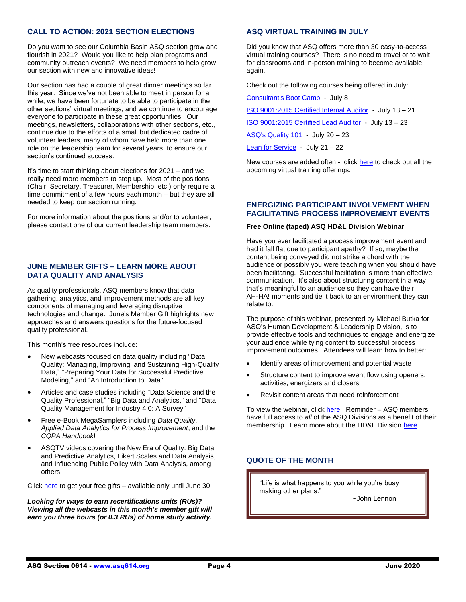# **CALL TO ACTION: 2021 SECTION ELECTIONS**

Do you want to see our Columbia Basin ASQ section grow and flourish in 2021? Would you like to help plan programs and community outreach events? We need members to help grow our section with new and innovative ideas!

Our section has had a couple of great dinner meetings so far this year. Since we've not been able to meet in person for a while, we have been fortunate to be able to participate in the other sections' virtual meetings, and we continue to encourage everyone to participate in these great opportunities. Our meetings, newsletters, collaborations with other sections, etc., continue due to the efforts of a small but dedicated cadre of volunteer leaders, many of whom have held more than one role on the leadership team for several years, to ensure our section's continued success.

It's time to start thinking about elections for 2021 – and we really need more members to step up. Most of the positions (Chair, Secretary, Treasurer, Membership, etc.) only require a time commitment of a few hours each month – but they are all needed to keep our section running.

For more information about the positions and/or to volunteer, please contact one of our current leadership team members.

### **JUNE MEMBER GIFTS – LEARN MORE ABOUT DATA QUALITY AND ANALYSIS**

As quality professionals, ASQ members know that data gathering, analytics, and improvement methods are all key components of managing and leveraging disruptive technologies and change. June's Member Gift highlights new approaches and answers questions for the future-focused quality professional.

This month's free resources include:

- New webcasts focused on data quality including "Data Quality: Managing, Improving, and Sustaining High-Quality Data," "Preparing Your Data for Successful Predictive Modeling," and "An Introduction to Data"
- Articles and case studies including "Data Science and the Quality Professional," "Big Data and Analytics," and "Data Quality Management for Industry 4.0: A Survey"
- Free e-Book MegaSamplers including *Data Quality*, *Applied Data Analytics for Process Improvement*, and the *CQPA Handbook*!
- ASQTV videos covering the New Era of Quality: Big Data and Predictive Analytics, Likert Scales and Data Analysis, and Influencing Public Policy with Data Analysis, among others.

Click [here](https://secure.asq.org/perl/msg.pl?prvurl=http://asq.org/membership/members/gift/?utm_source=email&utm_medium=email&utm_campaign=marketing_junemembergift_060120) to get your free gifts – available only until June 30.

*Looking for ways to earn recertifications units (RUs)? Viewing all the webcasts in this month's member gift will earn you three hours (or 0.3 RUs) of home study activity.*

# **ASQ VIRTUAL TRAINING IN JULY**

Did you know that ASQ offers more than 30 easy-to-access virtual training courses? There is no need to travel or to wait for classrooms and in-person training to become available again.

Check out the following courses being offered in July:

| Consultant's Boot Camp - July 8                         |
|---------------------------------------------------------|
| ISO 9001:2015 Certified Internal Auditor - July 13 - 21 |
| ISO 9001:2015 Certified Lead Auditor - July 13 - 23     |
| ASQ's Quality 101 - July 20 - 23                        |
| Lean for Service - July 21 - 22                         |

New courses are added often - click [here](https://asq.org/training/catalog#f:@frefcourseformat86028=[Virtual]) to check out all the upcoming virtual training offerings.

#### **ENERGIZING PARTICIPANT INVOLVEMENT WHEN FACILITATING PROCESS IMPROVEMENT EVENTS**

#### **Free Online (taped) ASQ HD&L Division Webinar**

Have you ever facilitated a process improvement event and had it fall flat due to participant apathy? If so, maybe the content being conveyed did not strike a chord with the audience or possibly you were teaching when you should have been facilitating. Successful facilitation is more than effective communication. It's also about structuring content in a way that's meaningful to an audience so they can have their AH-HA! moments and tie it back to an environment they can relate to.

The purpose of this webinar, presented by Michael Butka for ASQ's Human Development & Leadership Division, is to provide effective tools and techniques to engage and energize your audience while tying content to successful process improvement outcomes. Attendees will learn how to better:

- Identify areas of improvement and potential waste
- Structure content to improve event flow using openers, activities, energizers and closers
- Revisit content areas that need reinforcement

To view the webinar, click [here.](https://www.youtube.com/watch?v=Xsyd5T3X0Io&list=PLw7Rx8lz98Xkcj5iBsbejyhcxQ8iAG1vt&index=2) Reminder - ASQ members have full access to *all* of the ASQ Divisions as a benefit of their membership. Learn more about the HD&L Division [here.](https://my.asq.org/communities/home/120)

# **QUOTE OF THE MONTH**

"Life is what happens to you while you're busy making other plans."

~John Lennon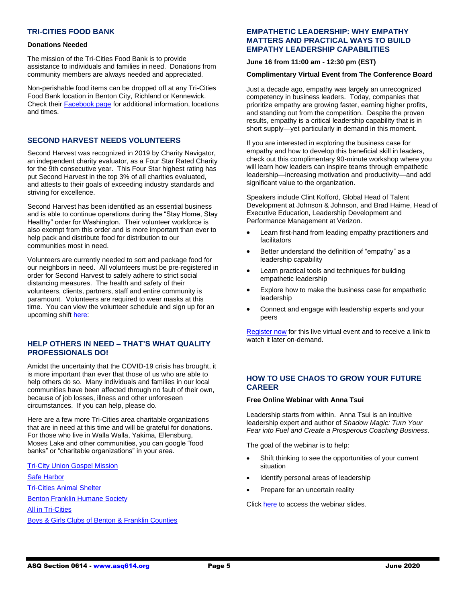# **TRI-CITIES FOOD BANK**

#### **Donations Needed**

The mission of the Tri-Cities Food Bank is to provide assistance to individuals and families in need. Donations from community members are always needed and appreciated.

Non-perishable food items can be dropped off at any Tri-Cities Food Bank location in Benton City, Richland or Kennewick. Check their [Facebook page](https://www.facebook.com/tricitiesfoodbank/) for additional information, locations and times.

#### **SECOND HARVEST NEEDS VOLUNTEERS**

Second Harvest was recognized in 2019 by Charity Navigator, an independent charity evaluator, as a Four Star Rated Charity for the 9th consecutive year. This Four Star highest rating has put Second Harvest in the top 3% of all charities evaluated, and attests to their goals of exceeding industry standards and striving for excellence.

Second Harvest has been identified as an essential business and is able to continue operations during the "Stay Home, Stay Healthy" order for Washington. Their volunteer workforce is also exempt from this order and is more important than ever to help pack and distribute food for distribution to our communities most in need.

Volunteers are currently needed to sort and package food for our neighbors in need. All volunteers must be pre-registered in order for Second Harvest to safely adhere to strict social distancing measures. The health and safety of their volunteers, clients, partners, staff and entire community is paramount. Volunteers are required to wear masks at this time. You can view the volunteer schedule and sign up for an upcoming shif[t here:](https://2-harvest.org/volunteer/?fbclid=IwAR2Re1TFIWNtroQi55QufGGHUxHt_diNdRreIlz9O9CERmRPYTmBXg6PhsI)

### **HELP OTHERS IN NEED – THAT'S WHAT QUALITY PROFESSIONALS DO!**

Amidst the uncertainty that the COVID-19 crisis has brought, it is more important than ever that those of us who are able to help others do so. Many individuals and families in our local communities have been affected through no fault of their own, because of job losses, illness and other unforeseen circumstances. If you can help, please do.

Here are a few more Tri-Cities area charitable organizations that are in need at this time and will be grateful for donations. For those who live in Walla Walla, Yakima, Ellensburg, Moses Lake and other communities, you can google "food banks" or "charitable organizations" in your area.

[Tri-City Union Gospel Mission](https://www.tcugm.org/) [Safe Harbor](https://www.safeharborsupportcenter.org/donate-volunteer) [Tri-Cities Animal Shelter](http://www.tri-citiesanimalshelter.org/?fbclid=IwAR0kn1nAHnMtGjR9CAzfWU-MFC08nuiPzktUw5ocmyGnynDucFfCT8hIuuo) [Benton Franklin Humane Society](http://www.bfhs.com/?fbclid=IwAR2x72zjjcB1UvY8cwOE3AElEoR6H0ISIF2yn1NkCZzssdGYKV0YNen_cc4) [All in Tri-Cities](https://www.allintricities.org/?fbclid=IwAR34yMUZ_qxnkf3-1PRTTjxLmGgYHaKtBVTpp7iGcfTOS-61VJw1BEacqms) [Boys & Girls Clubs of Benton & Franklin Counties](https://greatclubs.org/)

# **EMPATHETIC LEADERSHIP: WHY EMPATHY MATTERS AND PRACTICAL WAYS TO BUILD EMPATHY LEADERSHIP CAPABILITIES**

**June 16 from 11:00 am - 12:30 pm (EST)**

#### **Complimentary Virtual Event from The Conference Board**

Just a decade ago, empathy was largely an unrecognized competency in business leaders. Today, companies that prioritize empathy are growing faster, earning higher profits, and standing out from the competition. Despite the proven results, empathy is a critical leadership capability that is in short supply—yet particularly in demand in this moment.

If you are interested in exploring the business case for empathy and how to develop this beneficial skill in leaders, check out this complimentary 90-minute workshop where you will learn how leaders can inspire teams through empathetic leadership—increasing motivation and productivity—and add significant value to the organization.

Speakers include Clint Kofford, Global Head of Talent Development at Johnson & Johnson, and Brad Haime, Head of Executive Education, Leadership Development and Performance Management at Verizon.

- Learn first-hand from leading empathy practitioners and facilitators
- Better understand the definition of "empathy" as a leadership capability
- Learn practical tools and techniques for building empathetic leadership
- Explore how to make the business case for empathetic leadership
- Connect and engage with leadership experts and your peers

[Register now](https://www.conference-board.org/empatheticleadership?view=pricing) for this live virtual event and to receive a link to watch it later on-demand.

# **HOW TO USE CHAOS TO GROW YOUR FUTURE CAREER**

#### **Free Online Webinar with Anna Tsui**

Leadership starts from within. Anna Tsui is an intuitive leadership expert and author of *Shadow Magic: Turn Your Fear into Fuel and Create a Prosperous Coaching Business.*

The goal of the webinar is to help:

- Shift thinking to see the opportunities of your current situation
- Identify personal areas of leadership
- Prepare for an uncertain reality

Click [here](https://my.asq.org/communities/files/120/5559?utm_source=my.asq.org&utm_medium=email&utm_campaign=website) to access the webinar slides.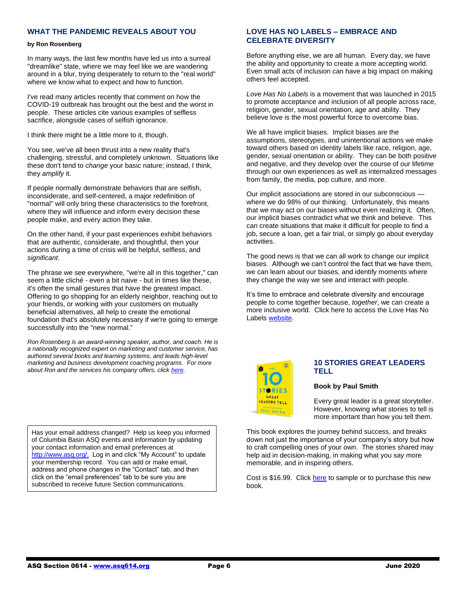# **WHAT THE PANDEMIC REVEALS ABOUT YOU**

#### **by Ron Rosenberg**

In many ways, the last few months have led us into a surreal "dreamlike" state, where we may feel like we are wandering around in a blur, trying desperately to return to the "real world" where we know what to expect and how to function.

I've read many articles recently that comment on how the COVID-19 outbreak has brought out the best and the worst in people. These articles cite various examples of selfless sacrifice, alongside cases of selfish ignorance.

I think there might be a little more to it, though.

You see, we've all been thrust into a new reality that's challenging, stressful, and completely unknown. Situations like these don't tend to *change* your basic nature; instead, I think, they *amplify* it.

If people normally demonstrate behaviors that are selfish, inconsiderate, and self-centered, a major redefinition of "normal" will only bring these characteristics to the forefront, where they will influence and inform every decision these people make, and every action they take.

On the other hand, if your past experiences exhibit behaviors that are authentic, considerate, and thoughtful, then your actions during a time of crisis will be helpful, selfless, and *significant*.

The phrase we see everywhere, "we're all in this together," can seem a little cliché - even a bit naive - but in times like these, it's often the small gestures that have the greatest impact. Offering to go shopping for an elderly neighbor, reaching out to your friends, or working with your customers on mutually beneficial alternatives, all help to create the emotional foundation that's absolutely necessary if we're going to emerge successfully into the "new normal."

*Ron Rosenberg is an award-winning speaker, author, and coach. He is a nationally recognized expert on marketing and customer service, has authored several books and learning systems, and leads high-level marketing and business development coaching programs. For more about Ron and the services his company offers, click [here.](https://www.ronrosenbergspeaker.com/)*

Has your email address changed? Help us keep you informed of Columbia Basin ASQ events and information by updating your contact information and email preferences at [http://www.asq.org/.](http://www.asq.org/) Log in and click "My Account" to update your membership record. You can add or make email, address and phone changes in the "Contact" tab, and then click on the "email preferences" tab to be sure you are subscribed to receive future Section communications.

# **LOVE HAS NO LABELS – EMBRACE AND CELEBRATE DIVERSITY**

Before anything else, we are all human. Every day, we have the ability and opportunity to create a more accepting world. Even small acts of inclusion can have a big impact on making others feel accepted.

*Love Has No Labels* is a movement that was launched in 2015 to promote acceptance and inclusion of all people across race, religion, gender, sexual orientation, age and ability. They believe love is the most powerful force to overcome bias.

We all have implicit biases. Implicit biases are the assumptions, stereotypes, and unintentional actions we make toward others based on identity labels like race, religion, age, gender, sexual orientation or ability. They can be both positive and negative, and they develop over the course of our lifetime through our own experiences as well as internalized messages from family, the media, pop culture, and more.

Our implicit associations are stored in our subconscious where we do 98% of our thinking. Unfortunately, this means that we may act on our biases without even realizing it. Often, our implicit biases contradict what we think and believe. This can create situations that make it difficult for people to find a job, secure a loan, get a fair trial, or simply go about everyday activities.

The good news is that we can all work to change our implicit biases. Although we can't control the fact that we have them, we can learn about our biases, and identify moments where they change the way we see and interact with people.

It's time to embrace and celebrate diversity and encourage people to come together because, *together*, we can create a more inclusive world. Click here to access the Love Has No Labels [website.](https://lovehasnolabels.com/actions/in-my-community)



# **10 STORIES GREAT LEADERS TELL**

#### **Book by Paul Smith**

Every great leader is a great storyteller. However, knowing what stories to tell is more important than how you tell them.

This book explores the journey behind success, and breaks down not just the importance of your company's story but how to craft compelling ones of your own. The stories shared may help aid in decision-making, in making what you say more memorable, and in inspiring others.

Cost is \$16.99. Click [here](https://www.walkthetalk.com/10-great-stories.html?utm_source=Walk+the+Talk+Master+List&utm_campaign=b77882bca0-EMAIL_CAMPAIGN_2018_07_16_03_25_COPY_01&utm_medium=email&utm_term=0_46fccdf186-b77882bca0-86469245&mc_cid=b77882bca0&mc_eid=dba56c85a9) to sample or to purchase this new book.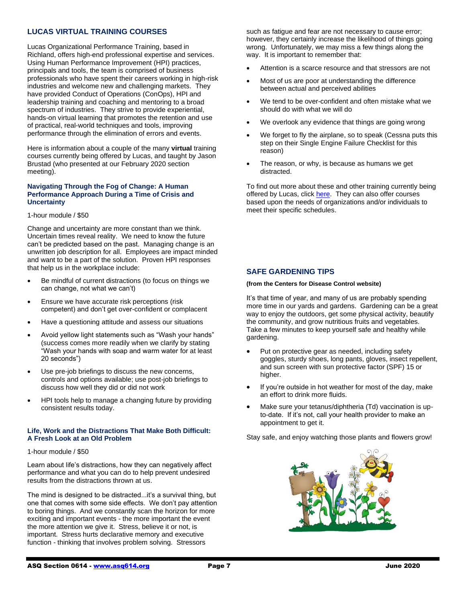# **LUCAS VIRTUAL TRAINING COURSES**

Lucas Organizational Performance Training, based in Richland, offers high-end professional expertise and services. Using Human Performance Improvement (HPI) practices, principals and tools, the team is comprised of business professionals who have spent their careers working in high-risk industries and welcome new and challenging markets. They have provided Conduct of Operations (ConOps), HPI and leadership training and coaching and mentoring to a broad spectrum of industries. They strive to provide experiential, hands-on virtual learning that promotes the retention and use of practical, real-world techniques and tools, improving performance through the elimination of errors and events.

Here is information about a couple of the many **virtual** training courses currently being offered by Lucas, and taught by Jason Brustad (who presented at our February 2020 section meeting).

#### **Navigating Through the Fog of Change: A Human Performance Approach During a Time of Crisis and Uncertainty**

#### 1-hour module / \$50

Change and uncertainty are more constant than we think. Uncertain times reveal reality. We need to know the future can't be predicted based on the past. Managing change is an unwritten job description for all. Employees are impact minded and want to be a part of the solution. Proven HPI responses that help us in the workplace include:

- Be mindful of current distractions (to focus on things we can change, not what we can't)
- Ensure we have accurate risk perceptions (risk competent) and don't get over-confident or complacent
- Have a questioning attitude and assess our situations
- Avoid yellow light statements such as "Wash your hands" (success comes more readily when we clarify by stating "Wash your hands with soap and warm water for at least 20 seconds")
- Use pre-job briefings to discuss the new concerns, controls and options available; use post-job briefings to discuss how well they did or did not work
- HPI tools help to manage a changing future by providing consistent results today.

#### **Life, Work and the Distractions That Make Both Difficult: A Fresh Look at an Old Problem**

#### 1-hour module / \$50

Learn about life's distractions, how they can negatively affect performance and what you can do to help prevent undesired results from the distractions thrown at us.

The mind is designed to be distracted...it's a survival thing, but one that comes with some side effects. We don't pay attention to boring things. And we constantly scan the horizon for more exciting and important events - the more important the event the more attention we give it. Stress, believe it or not, is important. Stress hurts declarative memory and executive function - thinking that involves problem solving. Stressors

such as fatigue and fear are not necessary to cause error; however, they certainly increase the likelihood of things going wrong. Unfortunately, we may miss a few things along the way. It is important to remember that:

- Attention is a scarce resource and that stressors are not
- Most of us are poor at understanding the difference between actual and perceived abilities
- We tend to be over-confident and often mistake what we should do with what we will do
- We overlook any evidence that things are going wrong
- We forget to fly the airplane, so to speak (Cessna puts this step on their Single Engine Failure Checklist for this reason)
- The reason, or why, is because as humans we get distracted.

To find out more about these and other training currently being offered by Lucas, clic[k here.](https://www.lucasopt.com/services) They can also offer courses based upon the needs of organizations and/or individuals to meet their specific schedules.

# **SAFE GARDENING TIPS**

#### **(from the Centers for Disease Control website)**

It's that time of year, and many of us are probably spending more time in our yards and gardens. Gardening can be a great way to enjoy the outdoors, get some physical activity, beautify the community, and grow nutritious fruits and vegetables. Take a few minutes to keep yourself safe and healthy while gardening.

- Put on protective gear as needed, including safety goggles, sturdy shoes, long pants, gloves, insect repellent, and sun screen with sun protective factor (SPF) 15 or higher.
- If you're outside in hot weather for most of the day, make an effort to drink more fluids.
- Make sure your tetanus/diphtheria (Td) vaccination is upto-date. If it's not, call your health provider to make an appointment to get it.

Stay safe, and enjoy watching those plants and flowers grow!